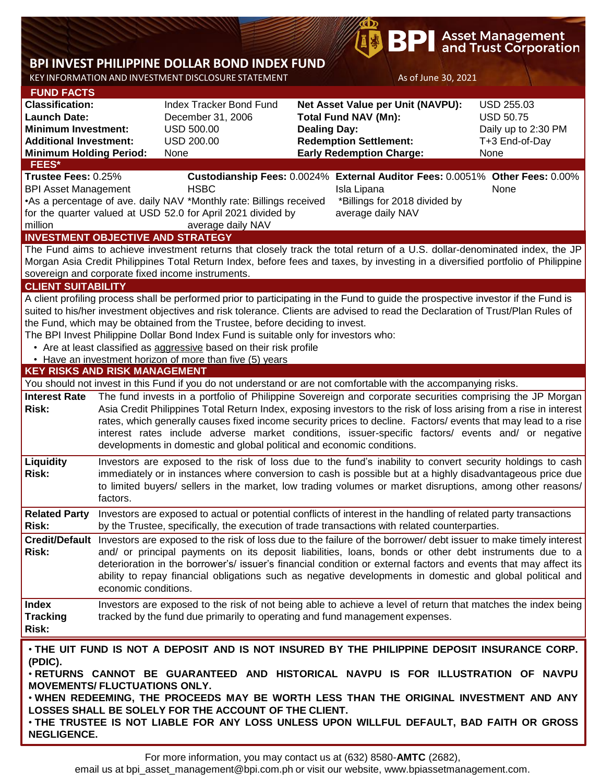# **BPI** Asset Management<br>**BPI** and Trust Corporation

## **BPI INVEST PHILIPPINE DOLLAR BOND INDEX FUND**

KEY INFORMATION AND INVESTMENT DISCLOSURE STATEMENT As of June 30, 2021

| <b>FUND FACTS</b>                                                                                                                                                                                                                                             |                                                                                                                    |                                                                                                            |                             |                                                                                                                                   |                     |  |  |  |  |  |
|---------------------------------------------------------------------------------------------------------------------------------------------------------------------------------------------------------------------------------------------------------------|--------------------------------------------------------------------------------------------------------------------|------------------------------------------------------------------------------------------------------------|-----------------------------|-----------------------------------------------------------------------------------------------------------------------------------|---------------------|--|--|--|--|--|
| <b>Classification:</b>                                                                                                                                                                                                                                        |                                                                                                                    | <b>Index Tracker Bond Fund</b>                                                                             |                             | Net Asset Value per Unit (NAVPU):                                                                                                 | <b>USD 255.03</b>   |  |  |  |  |  |
| <b>Launch Date:</b>                                                                                                                                                                                                                                           |                                                                                                                    | December 31, 2006                                                                                          | <b>Total Fund NAV (Mn):</b> |                                                                                                                                   | <b>USD 50.75</b>    |  |  |  |  |  |
| <b>Minimum Investment:</b>                                                                                                                                                                                                                                    |                                                                                                                    | <b>USD 500.00</b>                                                                                          | <b>Dealing Day:</b>         |                                                                                                                                   | Daily up to 2:30 PM |  |  |  |  |  |
| <b>Additional Investment:</b>                                                                                                                                                                                                                                 |                                                                                                                    | <b>USD 200.00</b>                                                                                          |                             | <b>Redemption Settlement:</b>                                                                                                     | T+3 End-of-Day      |  |  |  |  |  |
| <b>Minimum Holding Period:</b>                                                                                                                                                                                                                                |                                                                                                                    | None                                                                                                       |                             | <b>Early Redemption Charge:</b>                                                                                                   | None                |  |  |  |  |  |
| FEES*                                                                                                                                                                                                                                                         |                                                                                                                    |                                                                                                            |                             |                                                                                                                                   |                     |  |  |  |  |  |
| Trustee Fees: 0.25%<br>Custodianship Fees: 0.0024% External Auditor Fees: 0.0051% Other Fees: 0.00%                                                                                                                                                           |                                                                                                                    |                                                                                                            |                             |                                                                                                                                   |                     |  |  |  |  |  |
| <b>BPI Asset Management</b>                                                                                                                                                                                                                                   |                                                                                                                    | <b>HSBC</b>                                                                                                |                             | Isla Lipana                                                                                                                       | None                |  |  |  |  |  |
|                                                                                                                                                                                                                                                               |                                                                                                                    | •As a percentage of ave. daily NAV *Monthly rate: Billings received                                        |                             | *Billings for 2018 divided by                                                                                                     |                     |  |  |  |  |  |
|                                                                                                                                                                                                                                                               | for the quarter valued at USD 52.0 for April 2021 divided by<br>average daily NAV                                  |                                                                                                            |                             |                                                                                                                                   |                     |  |  |  |  |  |
| million                                                                                                                                                                                                                                                       |                                                                                                                    | average daily NAV                                                                                          |                             |                                                                                                                                   |                     |  |  |  |  |  |
| <b>INVESTMENT OBJECTIVE AND STRATEGY</b>                                                                                                                                                                                                                      |                                                                                                                    |                                                                                                            |                             |                                                                                                                                   |                     |  |  |  |  |  |
|                                                                                                                                                                                                                                                               |                                                                                                                    |                                                                                                            |                             |                                                                                                                                   |                     |  |  |  |  |  |
| The Fund aims to achieve investment returns that closely track the total return of a U.S. dollar-denominated index, the JP<br>Morgan Asia Credit Philippines Total Return Index, before fees and taxes, by investing in a diversified portfolio of Philippine |                                                                                                                    |                                                                                                            |                             |                                                                                                                                   |                     |  |  |  |  |  |
|                                                                                                                                                                                                                                                               |                                                                                                                    | sovereign and corporate fixed income instruments.                                                          |                             |                                                                                                                                   |                     |  |  |  |  |  |
|                                                                                                                                                                                                                                                               |                                                                                                                    |                                                                                                            |                             |                                                                                                                                   |                     |  |  |  |  |  |
| <b>CLIENT SUITABILITY</b>                                                                                                                                                                                                                                     |                                                                                                                    |                                                                                                            |                             |                                                                                                                                   |                     |  |  |  |  |  |
|                                                                                                                                                                                                                                                               |                                                                                                                    |                                                                                                            |                             | A client profiling process shall be performed prior to participating in the Fund to guide the prospective investor if the Fund is |                     |  |  |  |  |  |
|                                                                                                                                                                                                                                                               |                                                                                                                    |                                                                                                            |                             | suited to his/her investment objectives and risk tolerance. Clients are advised to read the Declaration of Trust/Plan Rules of    |                     |  |  |  |  |  |
|                                                                                                                                                                                                                                                               |                                                                                                                    | the Fund, which may be obtained from the Trustee, before deciding to invest.                               |                             |                                                                                                                                   |                     |  |  |  |  |  |
|                                                                                                                                                                                                                                                               |                                                                                                                    | The BPI Invest Philippine Dollar Bond Index Fund is suitable only for investors who:                       |                             |                                                                                                                                   |                     |  |  |  |  |  |
|                                                                                                                                                                                                                                                               |                                                                                                                    | • Are at least classified as aggressive based on their risk profile                                        |                             |                                                                                                                                   |                     |  |  |  |  |  |
|                                                                                                                                                                                                                                                               |                                                                                                                    | • Have an investment horizon of more than five (5) years                                                   |                             |                                                                                                                                   |                     |  |  |  |  |  |
| <b>KEY RISKS AND RISK MANAGEMENT</b>                                                                                                                                                                                                                          |                                                                                                                    |                                                                                                            |                             |                                                                                                                                   |                     |  |  |  |  |  |
|                                                                                                                                                                                                                                                               |                                                                                                                    |                                                                                                            |                             | You should not invest in this Fund if you do not understand or are not comfortable with the accompanying risks.                   |                     |  |  |  |  |  |
| <b>Interest Rate</b>                                                                                                                                                                                                                                          |                                                                                                                    |                                                                                                            |                             | The fund invests in a portfolio of Philippine Sovereign and corporate securities comprising the JP Morgan                         |                     |  |  |  |  |  |
| <b>Risk:</b>                                                                                                                                                                                                                                                  | Asia Credit Philippines Total Return Index, exposing investors to the risk of loss arising from a rise in interest |                                                                                                            |                             |                                                                                                                                   |                     |  |  |  |  |  |
|                                                                                                                                                                                                                                                               | rates, which generally causes fixed income security prices to decline. Factors/ events that may lead to a rise     |                                                                                                            |                             |                                                                                                                                   |                     |  |  |  |  |  |
|                                                                                                                                                                                                                                                               |                                                                                                                    | interest rates include adverse market conditions, issuer-specific factors/ events and/ or negative         |                             |                                                                                                                                   |                     |  |  |  |  |  |
|                                                                                                                                                                                                                                                               |                                                                                                                    | developments in domestic and global political and economic conditions.                                     |                             |                                                                                                                                   |                     |  |  |  |  |  |
|                                                                                                                                                                                                                                                               |                                                                                                                    |                                                                                                            |                             |                                                                                                                                   |                     |  |  |  |  |  |
| Liquidity                                                                                                                                                                                                                                                     |                                                                                                                    |                                                                                                            |                             | Investors are exposed to the risk of loss due to the fund's inability to convert security holdings to cash                        |                     |  |  |  |  |  |
| Risk:                                                                                                                                                                                                                                                         |                                                                                                                    | immediately or in instances where conversion to cash is possible but at a highly disadvantageous price due |                             |                                                                                                                                   |                     |  |  |  |  |  |
|                                                                                                                                                                                                                                                               | to limited buyers/ sellers in the market, low trading volumes or market disruptions, among other reasons/          |                                                                                                            |                             |                                                                                                                                   |                     |  |  |  |  |  |
|                                                                                                                                                                                                                                                               | factors.                                                                                                           |                                                                                                            |                             |                                                                                                                                   |                     |  |  |  |  |  |
| <b>Related Party</b>                                                                                                                                                                                                                                          |                                                                                                                    |                                                                                                            |                             | Investors are exposed to actual or potential conflicts of interest in the handling of related party transactions                  |                     |  |  |  |  |  |
| Risk:                                                                                                                                                                                                                                                         |                                                                                                                    |                                                                                                            |                             | by the Trustee, specifically, the execution of trade transactions with related counterparties.                                    |                     |  |  |  |  |  |
|                                                                                                                                                                                                                                                               |                                                                                                                    |                                                                                                            |                             | Credit/Default Investors are exposed to the risk of loss due to the failure of the borrower/ debt issuer to make timely interest  |                     |  |  |  |  |  |
| Risk:                                                                                                                                                                                                                                                         |                                                                                                                    |                                                                                                            |                             | and/ or principal payments on its deposit liabilities, loans, bonds or other debt instruments due to a                            |                     |  |  |  |  |  |
|                                                                                                                                                                                                                                                               |                                                                                                                    |                                                                                                            |                             | deterioration in the borrower's/ issuer's financial condition or external factors and events that may affect its                  |                     |  |  |  |  |  |
|                                                                                                                                                                                                                                                               |                                                                                                                    |                                                                                                            |                             | ability to repay financial obligations such as negative developments in domestic and global political and                         |                     |  |  |  |  |  |
|                                                                                                                                                                                                                                                               | economic conditions.                                                                                               |                                                                                                            |                             |                                                                                                                                   |                     |  |  |  |  |  |
|                                                                                                                                                                                                                                                               |                                                                                                                    |                                                                                                            |                             |                                                                                                                                   |                     |  |  |  |  |  |
| <b>Index</b>                                                                                                                                                                                                                                                  |                                                                                                                    |                                                                                                            |                             | Investors are exposed to the risk of not being able to achieve a level of return that matches the index being                     |                     |  |  |  |  |  |
| <b>Tracking</b>                                                                                                                                                                                                                                               | tracked by the fund due primarily to operating and fund management expenses.                                       |                                                                                                            |                             |                                                                                                                                   |                     |  |  |  |  |  |
| Risk:                                                                                                                                                                                                                                                         |                                                                                                                    |                                                                                                            |                             |                                                                                                                                   |                     |  |  |  |  |  |
|                                                                                                                                                                                                                                                               |                                                                                                                    |                                                                                                            |                             |                                                                                                                                   |                     |  |  |  |  |  |
|                                                                                                                                                                                                                                                               |                                                                                                                    |                                                                                                            |                             | . THE UIT FUND IS NOT A DEPOSIT AND IS NOT INSURED BY THE PHILIPPINE DEPOSIT INSURANCE CORP.                                      |                     |  |  |  |  |  |
| (PDIC).                                                                                                                                                                                                                                                       |                                                                                                                    |                                                                                                            |                             |                                                                                                                                   |                     |  |  |  |  |  |
| . RETURNS CANNOT BE GUARANTEED AND HISTORICAL NAVPU IS FOR ILLUSTRATION OF NAVPU                                                                                                                                                                              |                                                                                                                    |                                                                                                            |                             |                                                                                                                                   |                     |  |  |  |  |  |
| <b>MOVEMENTS/ FLUCTUATIONS ONLY.</b>                                                                                                                                                                                                                          |                                                                                                                    |                                                                                                            |                             |                                                                                                                                   |                     |  |  |  |  |  |
| . WHEN REDEEMING, THE PROCEEDS MAY BE WORTH LESS THAN THE ORIGINAL INVESTMENT AND ANY                                                                                                                                                                         |                                                                                                                    |                                                                                                            |                             |                                                                                                                                   |                     |  |  |  |  |  |
| LOSSES SHALL BE SOLELY FOR THE ACCOUNT OF THE CLIENT.                                                                                                                                                                                                         |                                                                                                                    |                                                                                                            |                             |                                                                                                                                   |                     |  |  |  |  |  |
| . THE TRUSTEE IS NOT LIABLE FOR ANY LOSS UNLESS UPON WILLFUL DEFAULT, BAD FAITH OR GROSS                                                                                                                                                                      |                                                                                                                    |                                                                                                            |                             |                                                                                                                                   |                     |  |  |  |  |  |
| <b>NEGLIGENCE.</b>                                                                                                                                                                                                                                            |                                                                                                                    |                                                                                                            |                             |                                                                                                                                   |                     |  |  |  |  |  |

email us at bpi\_asset\_management@bpi.com.ph or visit our website, www.bpiassetmanagement.com.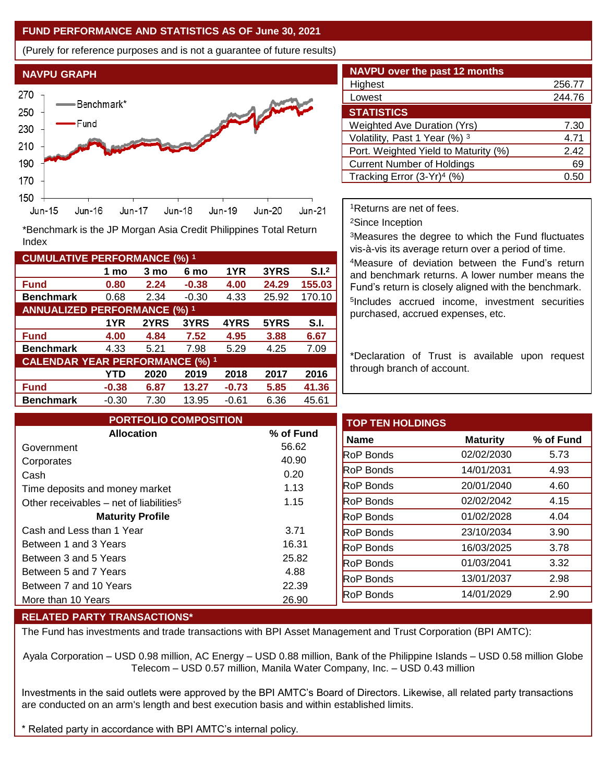### **FUND PERFORMANCE AND STATISTICS AS OF June 30, 2021**

(Purely for reference purposes and is not a guarantee of future results)



**Fund 0.80 2.24 -0.38 4.00 24.29 155.03 Benchmark** 0.68 2.34 -0.30 4.33 25.92 170.10

\*Benchmark is the JP Morgan Asia Credit Philippines Total Return

**Fund 4.00 4.84 7.52 4.95 3.88 6.67 Benchmark** 4.33 5.21 7.98 5.29 4.25 7.09

**Fund -0.38 6.87 13.27 -0.73 5.85 41.36 Benchmark** -0.30 7.30 13.95 -0.61 6.36 45.61

**1 mo 3 mo 6 mo 1YR 3YRS S.I.<sup>2</sup>**

**1YR 2YRS 3YRS 4YRS 5YRS S.I.**

**YTD 2020 2019 2018 2017 2016**

| <b>NAVPU over the past 12 months</b>   |        |  |  |
|----------------------------------------|--------|--|--|
| Highest                                | 256.77 |  |  |
| Lowest                                 | 244.76 |  |  |
|                                        |        |  |  |
| <b>STATISTICS</b>                      |        |  |  |
| <b>Weighted Ave Duration (Yrs)</b>     | 7.30   |  |  |
| Volatility, Past 1 Year (%) 3          | 4.71   |  |  |
| Port. Weighted Yield to Maturity (%)   | 2.42   |  |  |
| <b>Current Number of Holdings</b>      | 69     |  |  |
| Tracking Error (3-Yr) <sup>4</sup> (%) | 0.50   |  |  |

<sup>1</sup>Returns are net of fees.

<sup>2</sup>Since Inception

<sup>3</sup>Measures the degree to which the Fund fluctuates vis-à-vis its average return over a period of time.

<sup>4</sup>Measure of deviation between the Fund's return and benchmark returns. A lower number means the Fund's return is closely aligned with the benchmark. 5 Includes accrued income, investment securities purchased, accrued expenses, etc.

\*Declaration of Trust is available upon request through branch of account.

| <b>PORTFOLIO COMPOSITION</b>                        |           | <b>TOP TEN HOLDINGS</b> |                 |  |
|-----------------------------------------------------|-----------|-------------------------|-----------------|--|
| <b>Allocation</b>                                   | % of Fund | Name                    | <b>Maturity</b> |  |
| Government                                          | 56.62     | <b>RoP Bonds</b>        | 02/02/2030      |  |
| Corporates                                          | 40.90     | <b>RoP Bonds</b>        | 14/01/2031      |  |
| Cash                                                | 0.20      |                         |                 |  |
| Time deposits and money market                      | 1.13      | <b>RoP</b> Bonds        | 20/01/2040      |  |
| Other receivables – net of liabilities <sup>5</sup> | 1.15      | <b>RoP</b> Bonds        | 02/02/2042      |  |
| <b>Maturity Profile</b>                             |           | <b>RoP</b> Bonds        | 01/02/2028      |  |
| Cash and Less than 1 Year                           | 3.71      | <b>RoP Bonds</b>        | 23/10/2034      |  |
| Between 1 and 3 Years                               | 16.31     | <b>RoP Bonds</b>        | 16/03/2025      |  |
| Between 3 and 5 Years                               | 25.82     | <b>RoP Bonds</b>        | 01/03/2041      |  |
| Between 5 and 7 Years                               | 4.88      | <b>RoP Bonds</b>        | 13/01/2037      |  |
| Between 7 and 10 Years                              | 22.39     |                         | 14/01/2029      |  |
| More than 10 Years                                  | 26.90     | <b>RoP Bonds</b>        |                 |  |

#### **RELATED PARTY TRANSACTIONS\***

**CUMULATIVE PERFORMANCE (%) <sup>1</sup>**

Index

**ANNUALIZED PERFORMANCE (%) <sup>1</sup>**

**CALENDAR YEAR PERFORMANCE (%) <sup>1</sup>**

The Fund has investments and trade transactions with BPI Asset Management and Trust Corporation (BPI AMTC):

Ayala Corporation – USD 0.98 million, AC Energy – USD 0.88 million, Bank of the Philippine Islands – USD 0.58 million Globe Telecom – USD 0.57 million, Manila Water Company, Inc. – USD 0.43 million

Investments in the said outlets were approved by the BPI AMTC's Board of Directors. Likewise, all related party transactions are conducted on an arm's length and best execution basis and within established limits.

Related party in accordance with BPI AMTC's internal policy.